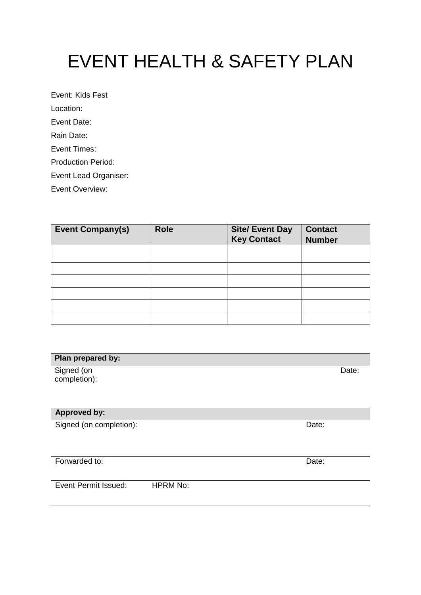# EVENT HEALTH & SAFETY PLAN

Event: Kids Fest Location: Event Date: Rain Date: Event Times: Production Period: Event Lead Organiser:

Event Overview:

| <b>Event Company(s)</b> | <b>Role</b> | <b>Site/ Event Day<br/>Key Contact</b> | <b>Contact</b><br><b>Number</b> |
|-------------------------|-------------|----------------------------------------|---------------------------------|
|                         |             |                                        |                                 |
|                         |             |                                        |                                 |
|                         |             |                                        |                                 |
|                         |             |                                        |                                 |
|                         |             |                                        |                                 |
|                         |             |                                        |                                 |

| Plan prepared by:          |       |
|----------------------------|-------|
| Signed (on<br>completion): | Date: |
| <b>Approved by:</b>        |       |
| Signed (on completion):    | Date: |
| Forwarded to:              | Date: |

Event Permit Issued: HPRM No: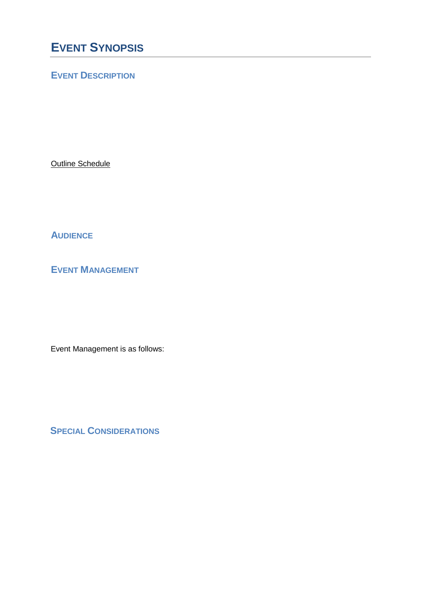## **EVENT SYNOPSIS**

## **EVENT DESCRIPTION**

**Outline Schedule** 

**AUDIENCE**

**EVENT MANAGEMENT**

Event Management is as follows:

**SPECIAL CONSIDERATIONS**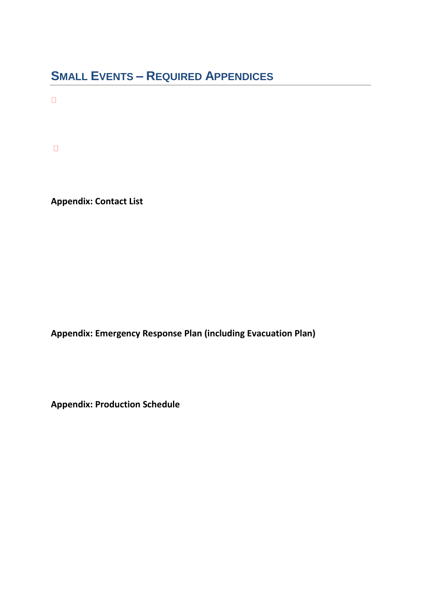## **SMALL EVENTS – REQUIRED APPENDICES**

 $\Box$ 

 $\Box$ 

**Appendix: Contact List** 

**Appendix: Emergency Response Plan (including Evacuation Plan)** 

**Appendix: Production Schedule**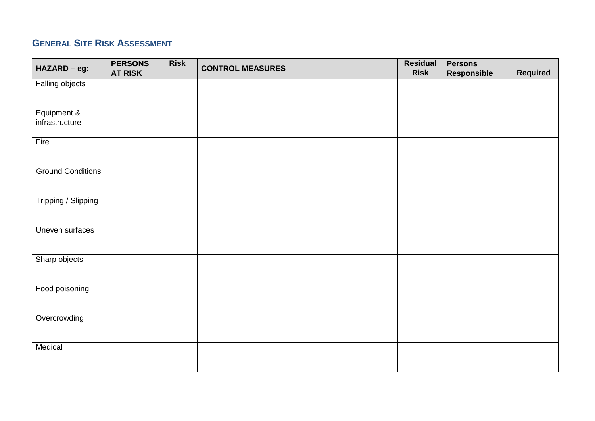## **GENERAL SITE RISK ASSESSMENT**

| <b>CONTROL MEASURES</b>                                      |                 |
|--------------------------------------------------------------|-----------------|
| HAZARD - eg:<br><b>AT RISK</b><br>Responsible<br><b>Risk</b> | <b>Required</b> |
| Falling objects                                              |                 |
|                                                              |                 |
|                                                              |                 |
| Equipment &                                                  |                 |
| infrastructure                                               |                 |
|                                                              |                 |
| Fire                                                         |                 |
|                                                              |                 |
|                                                              |                 |
| <b>Ground Conditions</b>                                     |                 |
|                                                              |                 |
|                                                              |                 |
| Tripping / Slipping                                          |                 |
|                                                              |                 |
|                                                              |                 |
| Uneven surfaces                                              |                 |
|                                                              |                 |
|                                                              |                 |
| Sharp objects                                                |                 |
|                                                              |                 |
|                                                              |                 |
| Food poisoning                                               |                 |
|                                                              |                 |
|                                                              |                 |
| Overcrowding                                                 |                 |
|                                                              |                 |
|                                                              |                 |
| Medical                                                      |                 |
|                                                              |                 |
|                                                              |                 |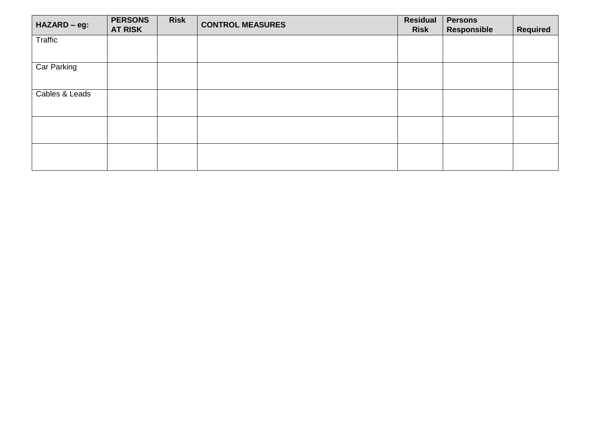| HAZARD - eg:   | <b>PERSONS</b><br><b>AT RISK</b> | <b>Risk</b> | <b>CONTROL MEASURES</b> | <b>Residual</b><br><b>Risk</b> | <b>Persons</b><br>Responsible | <b>Required</b> |
|----------------|----------------------------------|-------------|-------------------------|--------------------------------|-------------------------------|-----------------|
| Traffic        |                                  |             |                         |                                |                               |                 |
|                |                                  |             |                         |                                |                               |                 |
| Car Parking    |                                  |             |                         |                                |                               |                 |
| Cables & Leads |                                  |             |                         |                                |                               |                 |
|                |                                  |             |                         |                                |                               |                 |
|                |                                  |             |                         |                                |                               |                 |